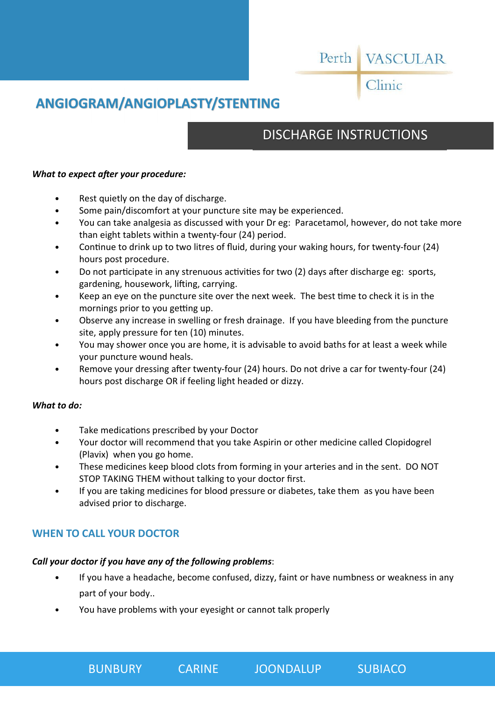# Perth VASCULAR

Clinic

# **ANGIOGRAM/ANGIOPLASTY/STENTING**

# DISCHARGE INSTRUCTIONS

### *What to expect after your procedure:*

- Rest quietly on the day of discharge.
- Some pain/discomfort at your puncture site may be experienced.
- You can take analgesia as discussed with your Dr eg: Paracetamol, however, do not take more than eight tablets within a twenty-four (24) period.
- Continue to drink up to two litres of fluid, during your waking hours, for twenty-four (24) hours post procedure.
- Do not participate in any strenuous activities for two (2) days after discharge eg: sports, gardening, housework, lifting, carrying.
- Keep an eye on the puncture site over the next week. The best time to check it is in the mornings prior to you getting up.
- Observe any increase in swelling or fresh drainage. If you have bleeding from the puncture site, apply pressure for ten (10) minutes.
- You may shower once you are home, it is advisable to avoid baths for at least a week while your puncture wound heals.
- Remove your dressing after twenty-four (24) hours. Do not drive a car for twenty-four (24) hours post discharge OR if feeling light headed or dizzy.

### *What to do:*

- Take medications prescribed by your Doctor
- Your doctor will recommend that you take Aspirin or other medicine called Clopidogrel (Plavix) when you go home.
- These medicines keep blood clots from forming in your arteries and in the sent. DO NOT STOP TAKING THEM without talking to your doctor first.
- If you are taking medicines for blood pressure or diabetes, take them as you have been advised prior to discharge.

## **WHEN TO CALL YOUR DOCTOR**

### *Call your doctor if you have any of the following problems*:

- If you have a headache, become confused, dizzy, faint or have numbness or weakness in any part of your body..
- You have problems with your eyesight or cannot talk properly